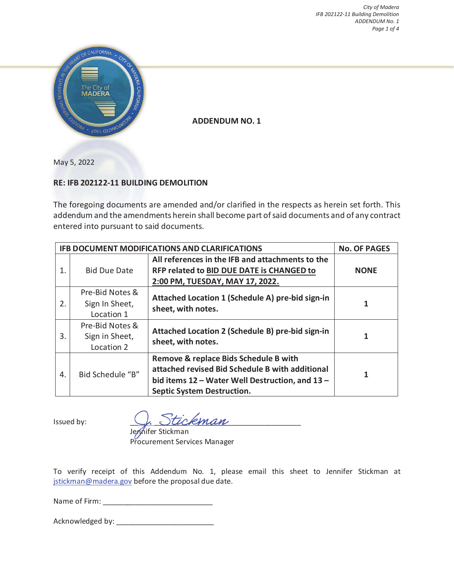

**ADDENDUM NO. 1** 

May 5, 2022

## **RE: IFB 202122-11 BUILDING DEMOLITION**

The foregoing documents are amended and/or clarified in the respects as herein set forth. This addendum and the amendments herein shall become part of said documents and of any contract entered into pursuant to said documents.

| IFB DOCUMENT MODIFICATIONS AND CLARIFICATIONS | <b>No. OF PAGES</b>                             |                                                                                                                                                                                  |             |
|-----------------------------------------------|-------------------------------------------------|----------------------------------------------------------------------------------------------------------------------------------------------------------------------------------|-------------|
| 1.                                            | <b>Bid Due Date</b>                             | All references in the IFB and attachments to the<br>RFP related to BID DUE DATE is CHANGED to<br>2:00 PM, TUESDAY, MAY 17, 2022.                                                 | <b>NONE</b> |
| 2.                                            | Pre-Bid Notes &<br>Sign In Sheet,<br>Location 1 | Attached Location 1 (Schedule A) pre-bid sign-in<br>sheet, with notes.                                                                                                           | 1           |
| 3.                                            | Pre-Bid Notes &<br>Sign in Sheet,<br>Location 2 | Attached Location 2 (Schedule B) pre-bid sign-in<br>sheet, with notes.                                                                                                           | 1           |
| 4.                                            | Bid Schedule "B"                                | Remove & replace Bids Schedule B with<br>attached revised Bid Schedule B with additional<br>bid items 12 - Water Well Destruction, and 13 -<br><b>Septic System Destruction.</b> |             |

Issued by:  $\bigcup_{k}$   $\bigcup$   $\bigcup$   $\bigcup$   $\bigcup$   $\bigcup$   $\bigcup$   $\bigcup$   $\bigcup$   $\bigcup$   $\bigcup$   $\bigcup$   $\bigcup$   $\bigcup$   $\bigcup$   $\bigcup$   $\bigcup$   $\bigcup$   $\bigcup$   $\bigcup$   $\bigcup$   $\bigcup$   $\bigcup$   $\bigcup$   $\bigcup$   $\bigcup$   $\bigcup$   $\bigcup$   $\bigcup$   $\bigcup$   $\bigcup$   $\bigcup$   $\bigcup$   $\bigcup$   $\big$ 

Jeryhifer Stickman Procurement Services Manager

To verify receipt of this Addendum No. 1, please email this sheet to Jennifer Stickman at jstickman@madera.gov before the proposal due date.

Name of Firm: \_\_\_\_\_\_\_\_\_\_\_\_\_\_\_\_\_\_\_\_\_\_\_\_\_\_\_

Acknowledged by: \_\_\_\_\_\_\_\_\_\_\_\_\_\_\_\_\_\_\_\_\_\_\_\_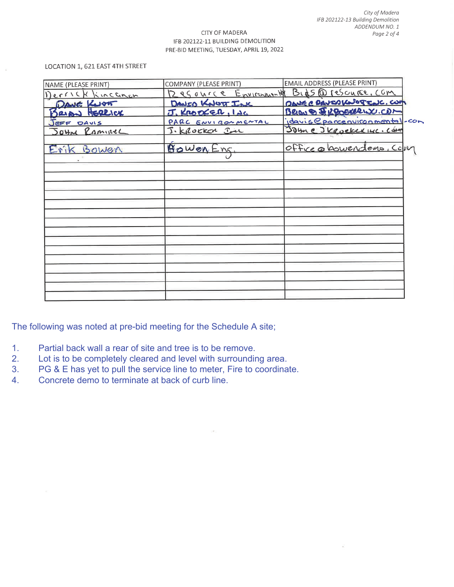#### CITY OF MADERA IFB 202122-11 BUILDING DEMOLITION PRE-BID MEETING, TUESDAY, APRIL 19, 2022

#### LOCATION 1, 621 EAST 4TH STREET

| NAME (PLEASE PRINT) | COMPANY (PLEASE PRINT) | <b>EMAIL ADDRESS (PLEASE PRINT)</b>          |
|---------------------|------------------------|----------------------------------------------|
| Derrick Kincanon    |                        | 12 es ource Environment Bid5 @ rescurse, com |
| DAVE KNOT           | DAVED KNOTT INK        | DANS C DAVED KNOTTLUC. CUM                   |
| BRIAN HERRICK       | J. KROOKER, INC        | Bergs & Resource CDM                         |
| JEFF DAVIS          | PARC ENVIRONMENTAL     | idavis eparcenvironmental-com                |
| Journe RamineL      | J. Krocker In          | Johne Jkeockerwe. Com                        |
| Erik Bowen          | BOWER Enc.             | Office a bowendous. Com                      |
|                     |                        |                                              |
|                     |                        |                                              |
|                     |                        |                                              |
|                     |                        |                                              |
|                     |                        |                                              |
|                     |                        |                                              |
|                     |                        |                                              |
|                     |                        |                                              |

The following was noted at pre-bid meeting for the Schedule A site;

- 1. Partial back wall a rear of site and tree is to be remove.
- 2. Lot is to be completely cleared and level with surrounding area.
- 3. PG & E has yet to pull the service line to meter, Fire to coordinate.
- 4. Concrete demo to terminate at back of curb line.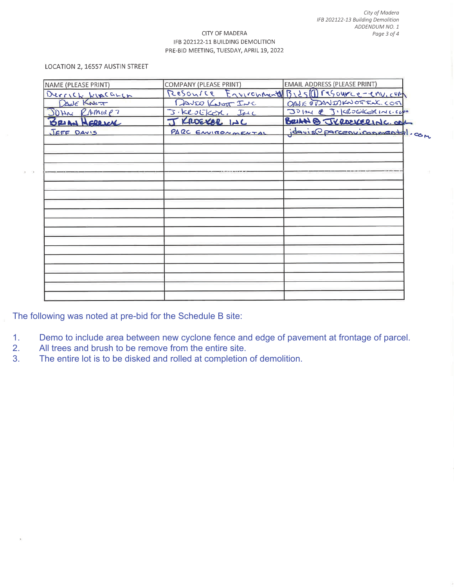#### CITY OF MADERA IFB 202122-11 BUILDING DEMOLITION PRE-BID MEETING, TUESDAY, APRIL 19, 2022

#### LOCATION 2, 16557 AUSTIN STREET

 $\overline{\mathcal{A}}$ 

| NAME (PLEASE PRINT) | COMPANY (PLEASE PRINT) | <b>EMAIL ADDRESS (PLEASE PRINT)</b>            |
|---------------------|------------------------|------------------------------------------------|
| Derrick KIACGLEN    |                        | Resource Environmental Bids 1 resource-environ |
| DANE KNOT           | DAVIO KNOT INC         | DAVE ODANISHNOTILL COST                        |
| JOHN RAMINE?        | J. KROEKER, INC        | JOHN @ J.KROGKERINGCH                          |
| BRIAN HERRICK       | J KROEKER LOC          | BRIAN & JEROEVERING. COM                       |
| JEFF DAVIS          | PARC ENVIRONMENTAL     | idavis Operconvironmental.com                  |
|                     |                        |                                                |
|                     |                        |                                                |
|                     |                        |                                                |
|                     |                        |                                                |
|                     |                        |                                                |
|                     |                        |                                                |
|                     |                        |                                                |
|                     |                        |                                                |
|                     |                        |                                                |
|                     |                        |                                                |

The following was noted at pre-bid for the Schedule B site:

- 1. Demo to include area between new cyclone fence and edge of pavement at frontage of parcel.
- 2. All trees and brush to be remove from the entire site.
- 3. The entire lot is to be disked and rolled at completion of demolition.